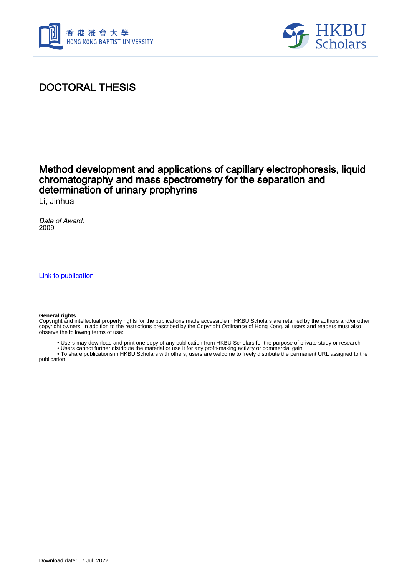



### DOCTORAL THESIS

#### Method development and applications of capillary electrophoresis, liquid chromatography and mass spectrometry for the separation and determination of urinary prophyrins

Li, Jinhua

Date of Award: 2009

[Link to publication](https://scholars.hkbu.edu.hk/en/studentTheses/d6b81877-d49c-4479-8eae-4c71b59a5c36)

#### **General rights**

Copyright and intellectual property rights for the publications made accessible in HKBU Scholars are retained by the authors and/or other copyright owners. In addition to the restrictions prescribed by the Copyright Ordinance of Hong Kong, all users and readers must also observe the following terms of use:

• Users may download and print one copy of any publication from HKBU Scholars for the purpose of private study or research

 • Users cannot further distribute the material or use it for any profit-making activity or commercial gain • To share publications in HKBU Scholars with others, users are welcome to freely distribute the permanent URL assigned to the

publication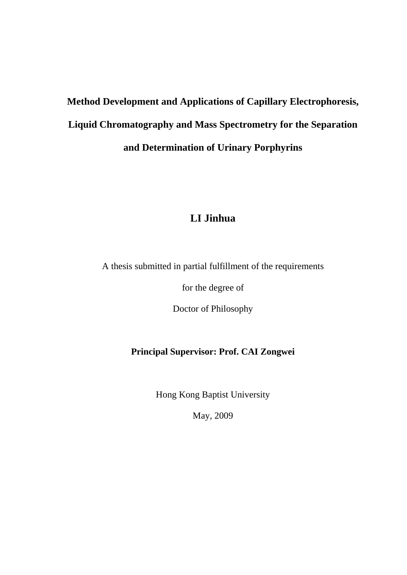# **Method Development and Applications of Capillary Electrophoresis, Liquid Chromatography and Mass Spectrometry for the Separation and Determination of Urinary Porphyrins**

#### **LI Jinhua**

A thesis submitted in partial fulfillment of the requirements

for the degree of

Doctor of Philosophy

#### **Principal Supervisor: Prof. CAI Zongwei**

Hong Kong Baptist University

May, 2009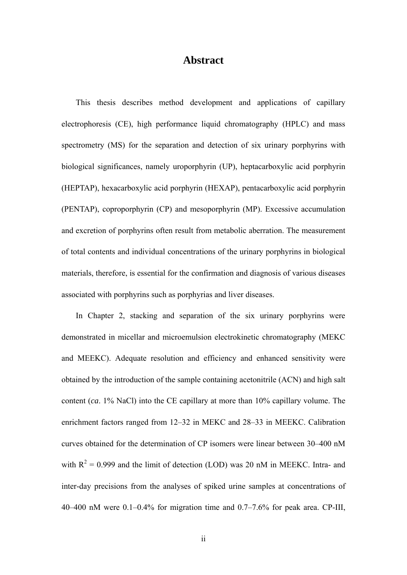#### **Abstract**

This thesis describes method development and applications of capillary electrophoresis (CE), high performance liquid chromatography (HPLC) and mass spectrometry (MS) for the separation and detection of six urinary porphyrins with biological significances, namely uroporphyrin (UP), heptacarboxylic acid porphyrin (HEPTAP), hexacarboxylic acid porphyrin (HEXAP), pentacarboxylic acid porphyrin (PENTAP), coproporphyrin (CP) and mesoporphyrin (MP). Excessive accumulation and excretion of porphyrins often result from metabolic aberration. The measurement of total contents and individual concentrations of the urinary porphyrins in biological materials, therefore, is essential for the confirmation and diagnosis of various diseases associated with porphyrins such as porphyrias and liver diseases.

In Chapter 2, stacking and separation of the six urinary porphyrins were demonstrated in micellar and microemulsion electrokinetic chromatography (MEKC and MEEKC). Adequate resolution and efficiency and enhanced sensitivity were obtained by the introduction of the sample containing acetonitrile (ACN) and high salt content (*ca*. 1% NaCl) into the CE capillary at more than 10% capillary volume. The enrichment factors ranged from 12–32 in MEKC and 28–33 in MEEKC. Calibration curves obtained for the determination of CP isomers were linear between 30–400 nM with  $R^2 = 0.999$  and the limit of detection (LOD) was 20 nM in MEEKC. Intra- and inter-day precisions from the analyses of spiked urine samples at concentrations of 40–400 nM were 0.1–0.4% for migration time and 0.7–7.6% for peak area. CP-III,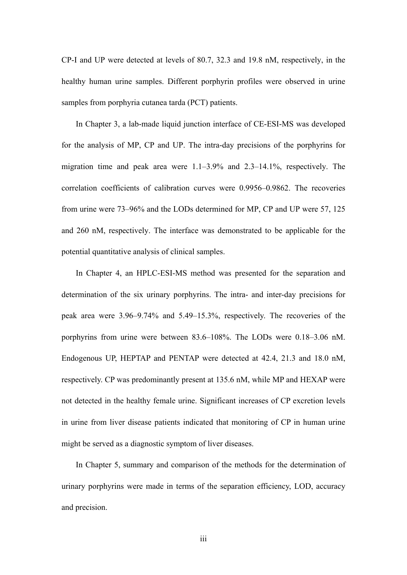CP-I and UP were detected at levels of 80.7, 32.3 and 19.8 nM, respectively, in the healthy human urine samples. Different porphyrin profiles were observed in urine samples from porphyria cutanea tarda (PCT) patients.

In Chapter 3, a lab-made liquid junction interface of CE-ESI-MS was developed for the analysis of MP, CP and UP. The intra-day precisions of the porphyrins for migration time and peak area were 1.1–3.9% and 2.3–14.1%, respectively. The correlation coefficients of calibration curves were 0.9956–0.9862. The recoveries from urine were 73–96% and the LODs determined for MP, CP and UP were 57, 125 and 260 nM, respectively. The interface was demonstrated to be applicable for the potential quantitative analysis of clinical samples.

In Chapter 4, an HPLC-ESI-MS method was presented for the separation and determination of the six urinary porphyrins. The intra- and inter-day precisions for peak area were 3.96–9.74% and 5.49–15.3%, respectively. The recoveries of the porphyrins from urine were between 83.6–108%. The LODs were 0.18–3.06 nM. Endogenous UP, HEPTAP and PENTAP were detected at 42.4, 21.3 and 18.0 nM, respectively. CP was predominantly present at 135.6 nM, while MP and HEXAP were not detected in the healthy female urine. Significant increases of CP excretion levels in urine from liver disease patients indicated that monitoring of CP in human urine might be served as a diagnostic symptom of liver diseases.

In Chapter 5, summary and comparison of the methods for the determination of urinary porphyrins were made in terms of the separation efficiency, LOD, accuracy and precision.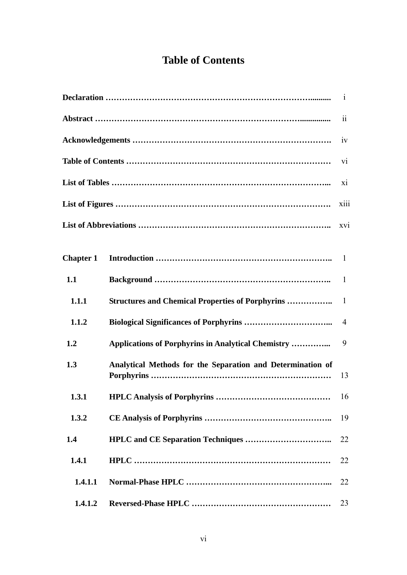## **Table of Contents**

|                  |                                                            | $\ddot{\rm ii}$ |
|------------------|------------------------------------------------------------|-----------------|
|                  |                                                            | iv              |
|                  |                                                            | V1              |
|                  |                                                            | xi              |
|                  |                                                            | xiii            |
|                  |                                                            | xvi             |
| <b>Chapter 1</b> |                                                            | 1               |
| 1.1              |                                                            | $\mathbf{1}$    |
| 1.1.1            | <b>Structures and Chemical Properties of Porphyrins </b>   | $\mathbf{1}$    |
| 1.1.2            | <b>Biological Significances of Porphyrins </b>             | 4               |
| 1.2              | <b>Applications of Porphyrins in Analytical Chemistry </b> | 9               |
| 1.3              | Analytical Methods for the Separation and Determination of | 13              |
| 1.3.1            |                                                            | 16              |
| 1.3.2            |                                                            | 19              |
| 1.4              |                                                            | 22              |
| 1.4.1            |                                                            | 22              |
| 1.4.1.1          |                                                            | 22              |
| 1.4.1.2          |                                                            | 23              |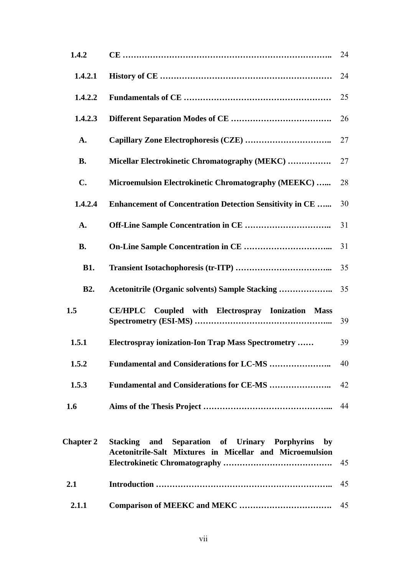| 1.4.2            |                                                                                                                 | 24 |
|------------------|-----------------------------------------------------------------------------------------------------------------|----|
| 1.4.2.1          |                                                                                                                 | 24 |
| 1.4.2.2          |                                                                                                                 | 25 |
| 1.4.2.3          |                                                                                                                 | 26 |
| A.               |                                                                                                                 | 27 |
| <b>B.</b>        | Micellar Electrokinetic Chromatography (MEKC)                                                                   | 27 |
| $C_{\bullet}$    | Microemulsion Electrokinetic Chromatography (MEEKC)                                                             | 28 |
| 1.4.2.4          | <b>Enhancement of Concentration Detection Sensitivity in CE </b>                                                | 30 |
| A.               |                                                                                                                 | 31 |
| <b>B.</b>        |                                                                                                                 | 31 |
| <b>B1.</b>       |                                                                                                                 | 35 |
|                  |                                                                                                                 |    |
| <b>B2.</b>       |                                                                                                                 | 35 |
| 1.5              | CE/HPLC Coupled with Electrospray Ionization Mass                                                               | 39 |
| 1.5.1            | <b>Electrospray ionization-Ion Trap Mass Spectrometry </b>                                                      | 39 |
| 1.5.2            |                                                                                                                 | 40 |
| 1.5.3            | <b>Fundamental and Considerations for CE-MS </b>                                                                | 42 |
| 1.6              |                                                                                                                 | 44 |
| <b>Chapter 2</b> | Stacking and Separation of Urinary Porphyrins<br>by<br>Acetonitrile-Salt Mixtures in Micellar and Microemulsion | 45 |
| 2.1              |                                                                                                                 | 45 |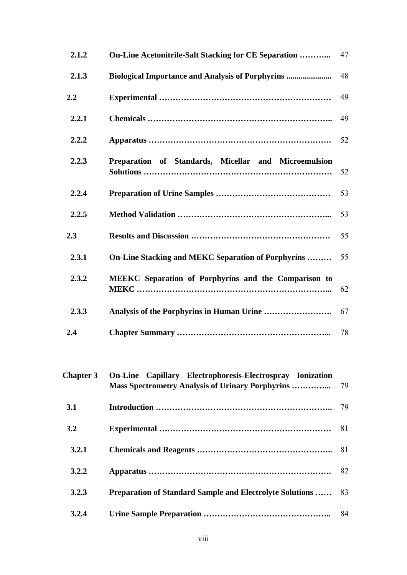| 2.1.2            | <b>On-Line Acetonitrile-Salt Stacking for CE Separation </b>                                                          | 47 |
|------------------|-----------------------------------------------------------------------------------------------------------------------|----|
| 2.1.3            | <b>Biological Importance and Analysis of Porphyrins </b>                                                              | 48 |
| 2.2              |                                                                                                                       | 49 |
| 2.2.1            |                                                                                                                       | 49 |
| 2.2.2            |                                                                                                                       | 52 |
| 2.2.3            | Preparation of Standards, Micellar and Microemulsion                                                                  | 52 |
| 2.2.4            |                                                                                                                       | 53 |
| 2.2.5            |                                                                                                                       | 53 |
| 2.3              |                                                                                                                       | 55 |
| 2.3.1            | <b>On-Line Stacking and MEKC Separation of Porphyrins </b>                                                            | 55 |
| 2.3.2            | <b>MEEKC</b> Separation of Porphyrins and the Comparison to                                                           | 62 |
| 2.3.3            |                                                                                                                       | 67 |
| 2.4              |                                                                                                                       | 78 |
| <b>Chapter 3</b> | On-Line Capillary Electrophoresis-Electrospray Ionization<br><b>Mass Spectrometry Analysis of Urinary Porphyrins </b> | 79 |
| 3.1              |                                                                                                                       | 79 |
| 3.2              |                                                                                                                       | 81 |
| 3.2.1            |                                                                                                                       | 81 |
| 3.2.2            |                                                                                                                       | 82 |
| 3.2.3            | <b>Preparation of Standard Sample and Electrolyte Solutions </b>                                                      | 83 |
| 3.2.4            |                                                                                                                       | 84 |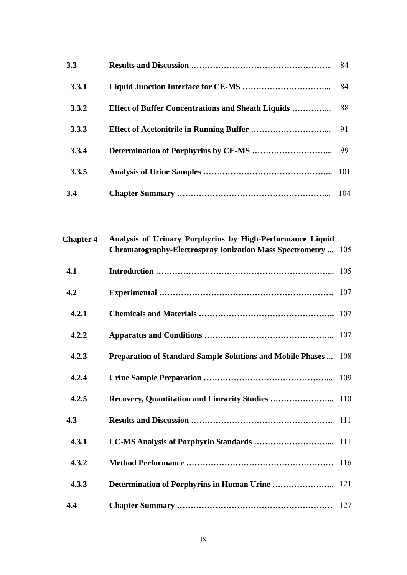| 3.3   |                                                            | 84  |
|-------|------------------------------------------------------------|-----|
| 3.3.1 |                                                            | 84  |
| 3.3.2 | <b>Effect of Buffer Concentrations and Sheath Liquids </b> | 88  |
| 3.3.3 |                                                            |     |
| 3.3.4 |                                                            |     |
| 3.3.5 |                                                            |     |
| 3.4   |                                                            | 104 |

| <b>Chapter 4</b> | Analysis of Urinary Porphyrins by High-Performance Liquid<br>Chromatography-Electrospray Ionization Mass Spectrometry  105 |  |
|------------------|----------------------------------------------------------------------------------------------------------------------------|--|
| 4.1              |                                                                                                                            |  |
| 4.2              |                                                                                                                            |  |
| 4.2.1            |                                                                                                                            |  |
| 4.2.2            |                                                                                                                            |  |
| 4.2.3            | Preparation of Standard Sample Solutions and Mobile Phases  108                                                            |  |
| 4.2.4            |                                                                                                                            |  |
| 4.2.5            |                                                                                                                            |  |
| 4.3              |                                                                                                                            |  |
| 4.3.1            |                                                                                                                            |  |
| 4.3.2            |                                                                                                                            |  |
| 4.3.3            |                                                                                                                            |  |
| 4.4              |                                                                                                                            |  |